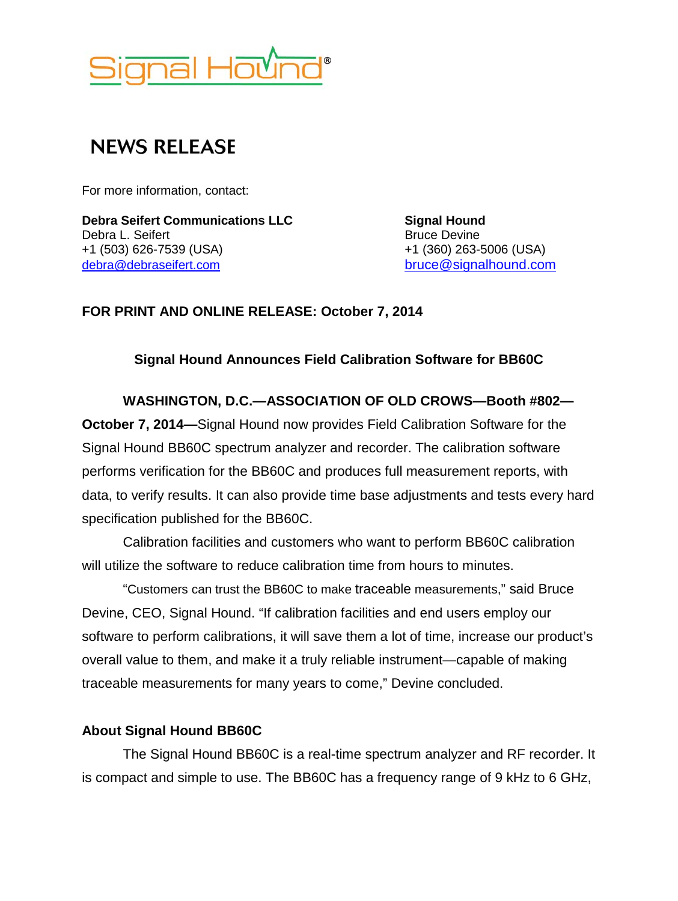

# **NEWS RELEASE**

For more information, contact:

**Debra Seifert Communications LLC<br>
Debra L. Seifert 
<b>Signal Hound**<br> **Debra L. Seifert Signal Hound Signal Hound Signal Hound Signal Hound Signal Hound Signal Hound Signal Hound Signal Hound Sign** Debra L. Seifert Bruce Devine<br>
+1 (503) 626-7539 (USA) +1 (360) 263-5006 (USA) +1 (503) 626-7539 (USA) [debra@debraseifert.com](mailto:debra@debraseifert.com) [bruce@signalhound.com](mailto:bruce@signalhound.com)

### **FOR PRINT AND ONLINE RELEASE: October 7, 2014**

### **Signal Hound Announces Field Calibration Software for BB60C**

**WASHINGTON, D.C.—ASSOCIATION OF OLD CROWS—Booth #802— October 7, 2014—**Signal Hound now provides Field Calibration Software for the Signal Hound BB60C spectrum analyzer and recorder. The calibration software performs verification for the BB60C and produces full measurement reports, with data, to verify results. It can also provide time base adjustments and tests every hard specification published for the BB60C.

Calibration facilities and customers who want to perform BB60C calibration will utilize the software to reduce calibration time from hours to minutes.

"Customers can trust the BB60C to make traceable measurements," said Bruce Devine, CEO, Signal Hound. "If calibration facilities and end users employ our software to perform calibrations, it will save them a lot of time, increase our product's overall value to them, and make it a truly reliable instrument—capable of making traceable measurements for many years to come," Devine concluded.

## **About Signal Hound BB60C**

The Signal Hound BB60C is a real-time spectrum analyzer and RF recorder. It is compact and simple to use. The BB60C has a frequency range of 9 kHz to 6 GHz,